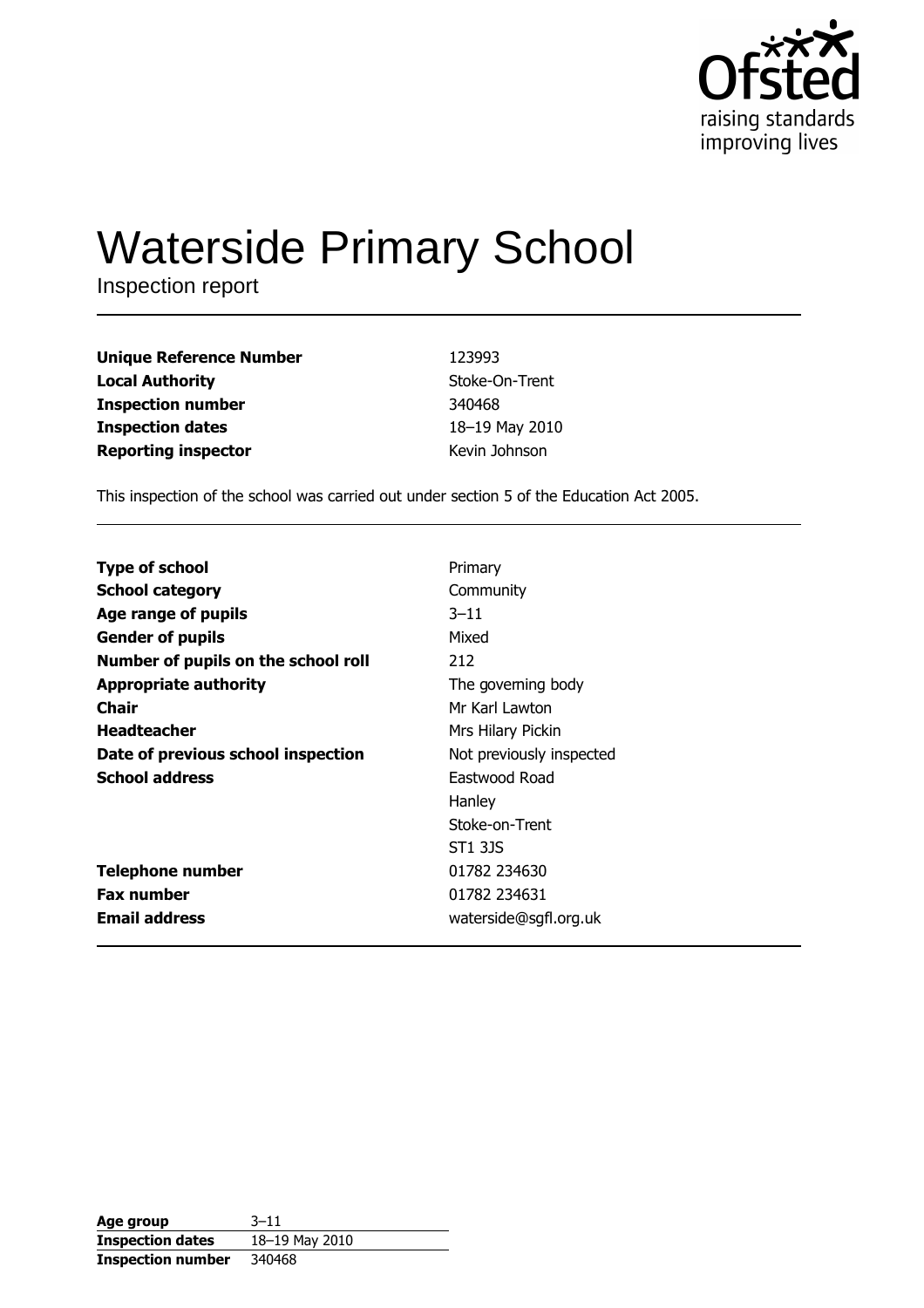

# **Waterside Primary School**

Inspection report

| <b>Unique Reference Number</b> | 123993         |
|--------------------------------|----------------|
| <b>Local Authority</b>         | Stoke-On-Trent |
| <b>Inspection number</b>       | 340468         |
| <b>Inspection dates</b>        | 18-19 May 2010 |
| <b>Reporting inspector</b>     | Kevin Johnson  |

This inspection of the school was carried out under section 5 of the Education Act 2005.

| <b>Type of school</b>               | Primary                  |
|-------------------------------------|--------------------------|
| <b>School category</b>              | Community                |
| Age range of pupils                 | $3 - 11$                 |
| <b>Gender of pupils</b>             | Mixed                    |
| Number of pupils on the school roll | 212                      |
| <b>Appropriate authority</b>        | The governing body       |
| Chair                               | Mr Karl Lawton           |
| <b>Headteacher</b>                  | Mrs Hilary Pickin        |
| Date of previous school inspection  | Not previously inspected |
| <b>School address</b>               | Eastwood Road            |
|                                     | Hanley                   |
|                                     | Stoke-on-Trent           |
|                                     | ST1 3JS                  |
| <b>Telephone number</b>             | 01782 234630             |
| <b>Fax number</b>                   | 01782 234631             |
| <b>Email address</b>                | waterside@sgfl.org.uk    |

| Age group                | $3 - 11$       |
|--------------------------|----------------|
| <b>Inspection dates</b>  | 18-19 May 2010 |
| <b>Inspection number</b> | 340468         |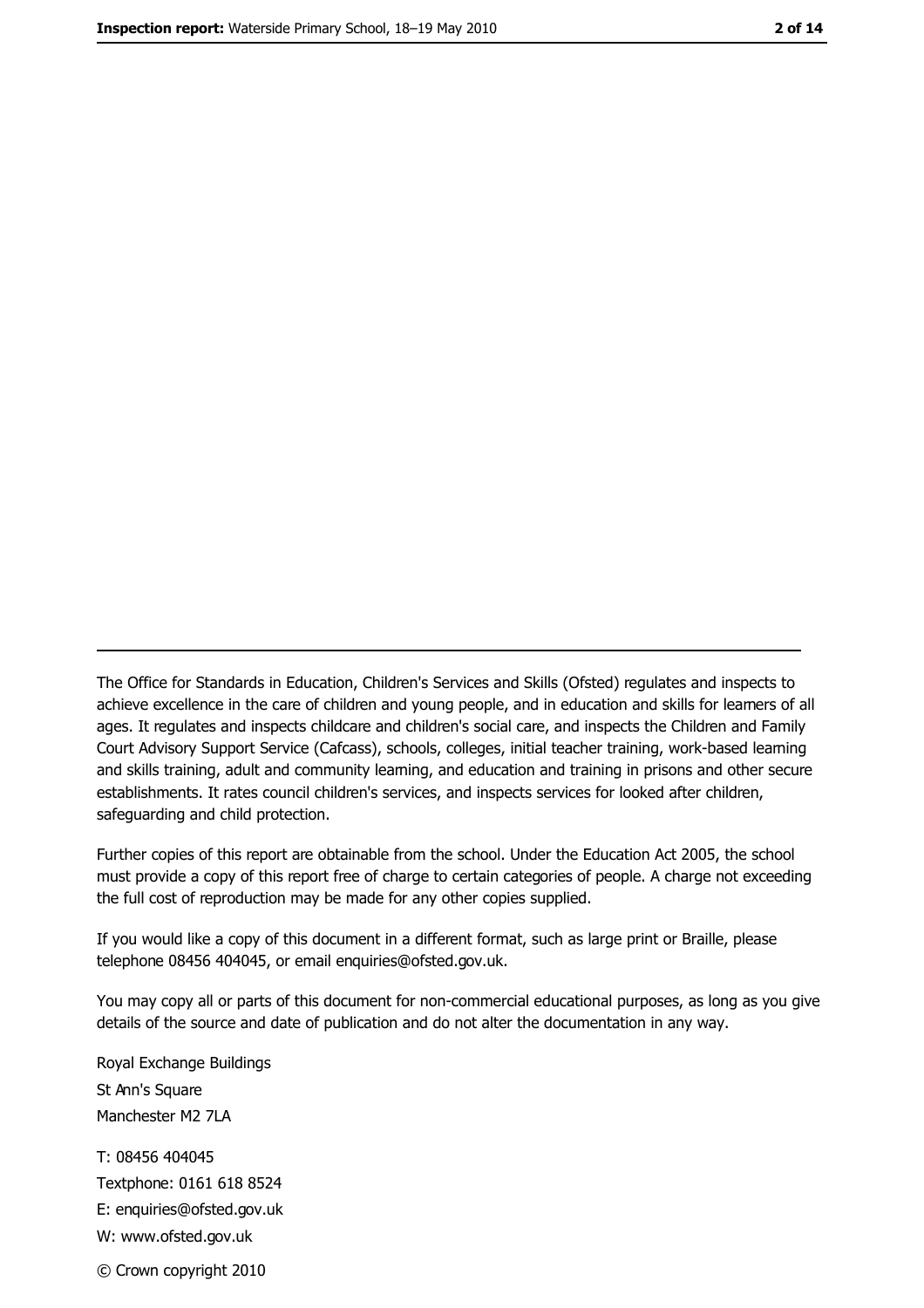The Office for Standards in Education, Children's Services and Skills (Ofsted) regulates and inspects to achieve excellence in the care of children and young people, and in education and skills for learners of all ages. It regulates and inspects childcare and children's social care, and inspects the Children and Family Court Advisory Support Service (Cafcass), schools, colleges, initial teacher training, work-based leaming and skills training, adult and community leaming, and education and training in prisons and other secure establishments. It rates council children's services, and inspects services for looked after children, safequarding and child protection.

Further copies of this report are obtainable from the school. Under the Education Act 2005, the school must provide a copy of this report free of charge to certain categories of people. A charge not exceeding the full cost of reproduction may be made for any other copies supplied.

If you would like a copy of this document in a different format, such as large print or Braille, please telephone 08456 404045, or email enquiries@ofsted.gov.uk.

You may copy all or parts of this document for non-commercial educational purposes, as long as you give details of the source and date of publication and do not alter the documentation in any way.

Royal Exchange Buildings St Ann's Square Manchester M2 7LA T: 08456 404045 Textphone: 0161 618 8524 E: enquiries@ofsted.gov.uk W: www.ofsted.gov.uk © Crown copyright 2010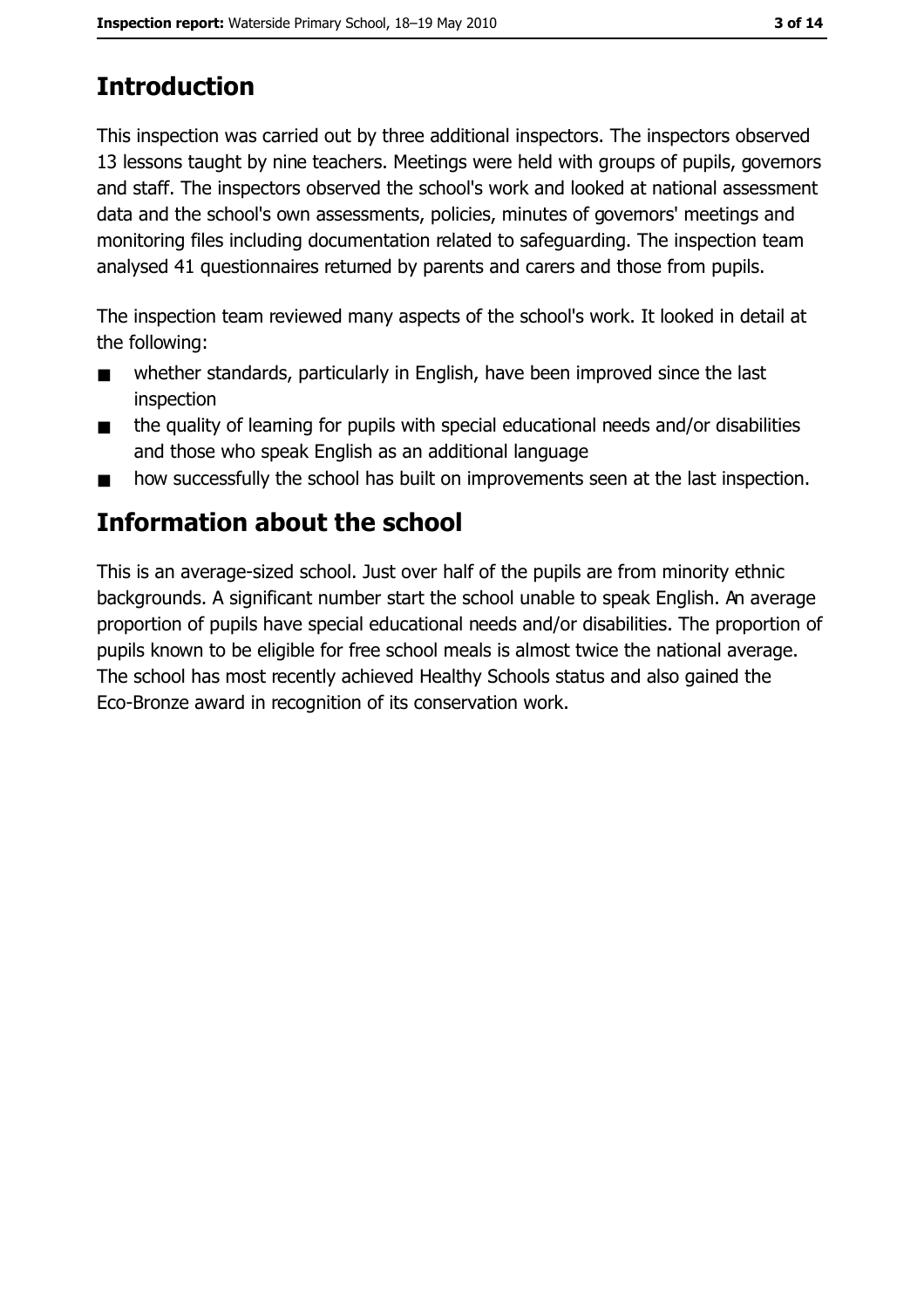# **Introduction**

This inspection was carried out by three additional inspectors. The inspectors observed 13 lessons taught by nine teachers. Meetings were held with groups of pupils, governors and staff. The inspectors observed the school's work and looked at national assessment data and the school's own assessments, policies, minutes of governors' meetings and monitoring files including documentation related to safeguarding. The inspection team analysed 41 questionnaires returned by parents and carers and those from pupils.

The inspection team reviewed many aspects of the school's work. It looked in detail at the following:

- whether standards, particularly in English, have been improved since the last  $\blacksquare$ inspection
- the quality of learning for pupils with special educational needs and/or disabilities  $\blacksquare$ and those who speak English as an additional language
- how successfully the school has built on improvements seen at the last inspection.  $\blacksquare$

# Information about the school

This is an average-sized school. Just over half of the pupils are from minority ethnic backgrounds. A significant number start the school unable to speak English. An average proportion of pupils have special educational needs and/or disabilities. The proportion of pupils known to be eligible for free school meals is almost twice the national average. The school has most recently achieved Healthy Schools status and also gained the Eco-Bronze award in recognition of its conservation work.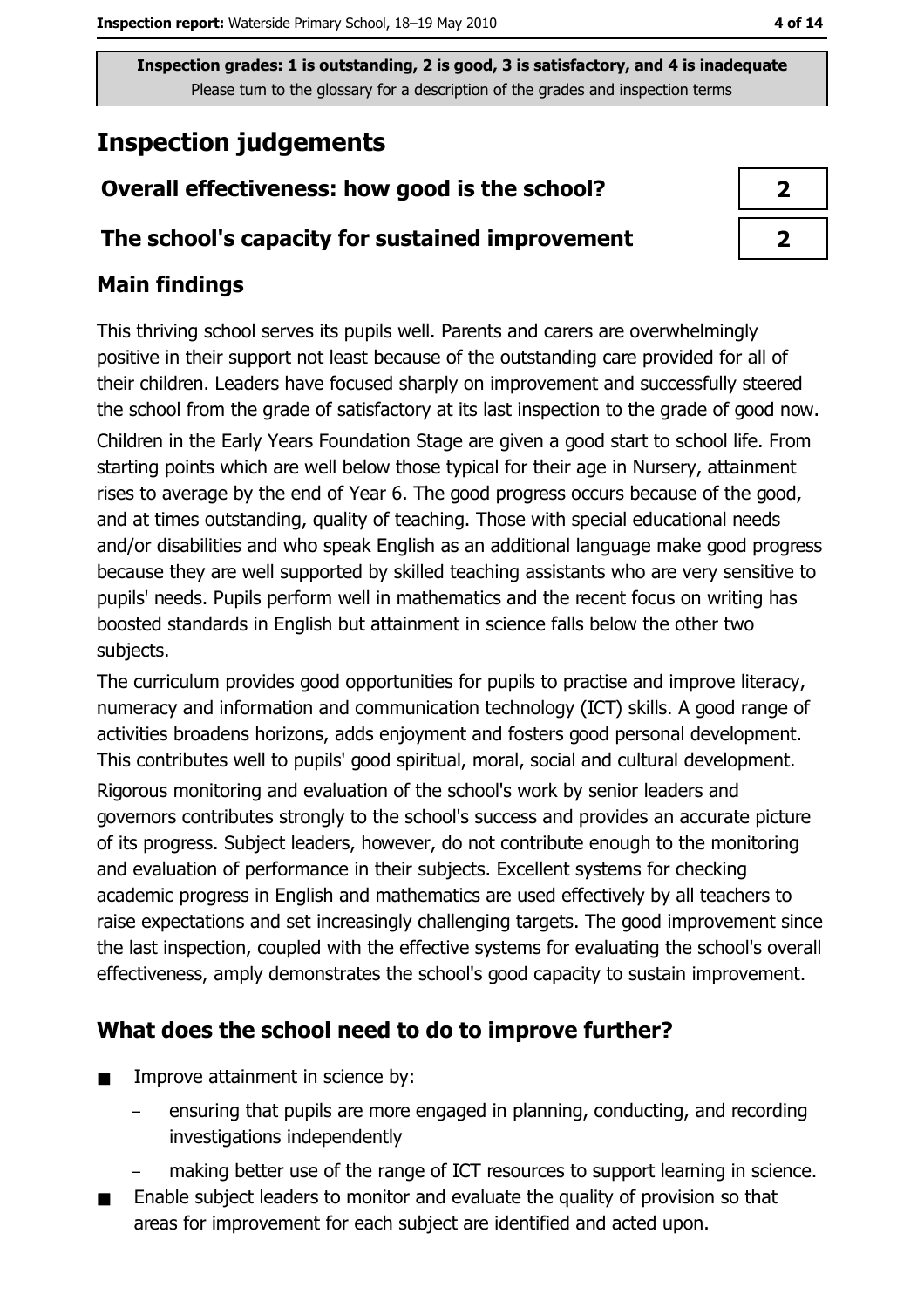# **Inspection judgements**

# Overall effectiveness: how good is the school?

## The school's capacity for sustained improvement

## **Main findings**

This thriving school serves its pupils well. Parents and carers are overwhelmingly positive in their support not least because of the outstanding care provided for all of their children. Leaders have focused sharply on improvement and successfully steered the school from the grade of satisfactory at its last inspection to the grade of good now. Children in the Early Years Foundation Stage are given a good start to school life. From starting points which are well below those typical for their age in Nursery, attainment rises to average by the end of Year 6. The good progress occurs because of the good, and at times outstanding, quality of teaching. Those with special educational needs and/or disabilities and who speak English as an additional language make good progress because they are well supported by skilled teaching assistants who are very sensitive to pupils' needs. Pupils perform well in mathematics and the recent focus on writing has boosted standards in English but attainment in science falls below the other two subjects.

The curriculum provides good opportunities for pupils to practise and improve literacy, numeracy and information and communication technology (ICT) skills. A good range of activities broadens horizons, adds enjoyment and fosters good personal development. This contributes well to pupils' good spiritual, moral, social and cultural development.

Rigorous monitoring and evaluation of the school's work by senior leaders and governors contributes strongly to the school's success and provides an accurate picture of its progress. Subject leaders, however, do not contribute enough to the monitoring and evaluation of performance in their subjects. Excellent systems for checking academic progress in English and mathematics are used effectively by all teachers to raise expectations and set increasingly challenging targets. The good improvement since the last inspection, coupled with the effective systems for evaluating the school's overall effectiveness, amply demonstrates the school's good capacity to sustain improvement.

## What does the school need to do to improve further?

- $\blacksquare$ Improve attainment in science by:
	- ensuring that pupils are more engaged in planning, conducting, and recording investigations independently
		- making better use of the range of ICT resources to support learning in science.
- Enable subject leaders to monitor and evaluate the quality of provision so that areas for improvement for each subject are identified and acted upon.

 $\overline{2}$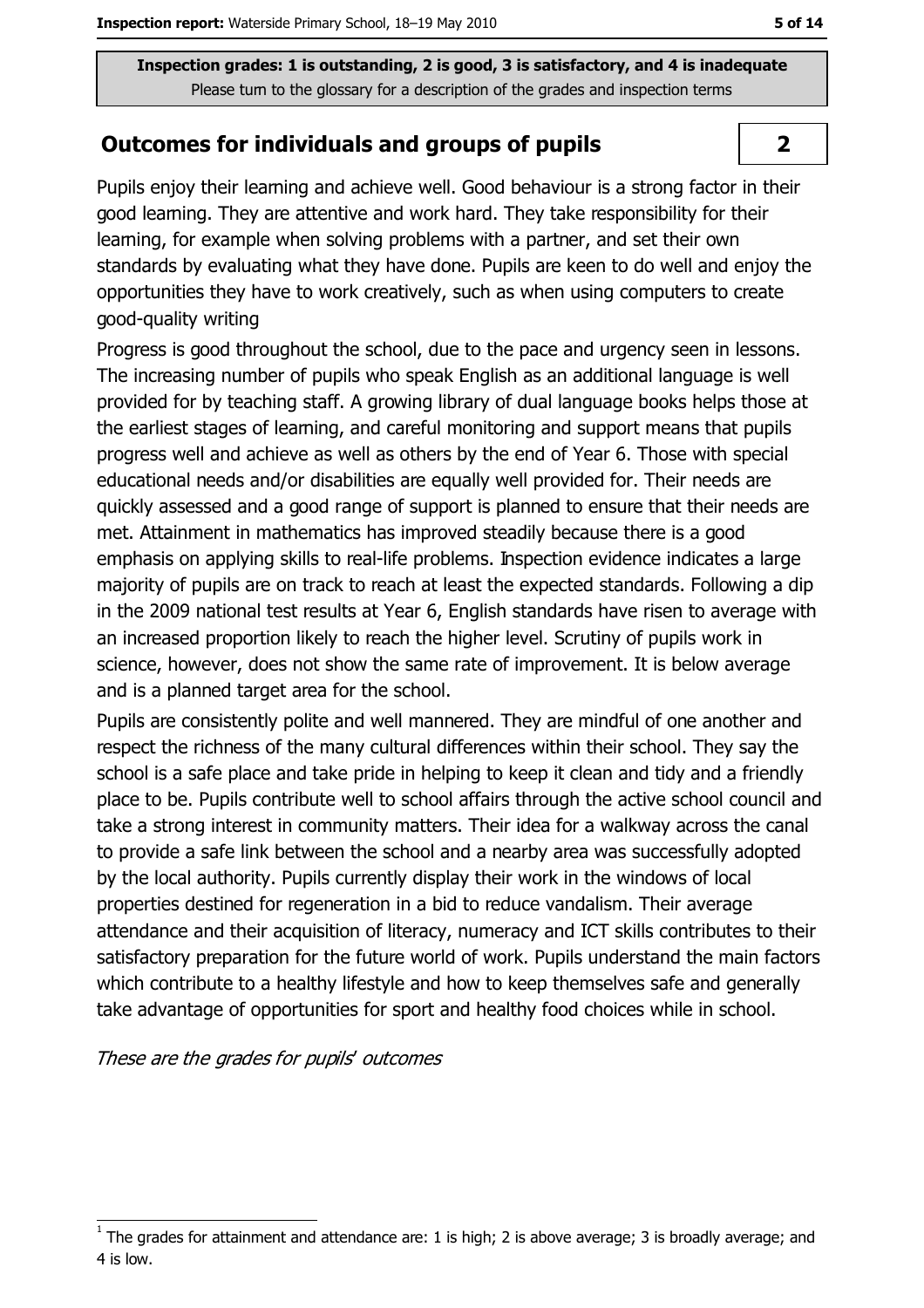#### **Outcomes for individuals and groups of pupils**

Pupils enjoy their learning and achieve well. Good behaviour is a strong factor in their good leaming. They are attentive and work hard. They take responsibility for their learning, for example when solving problems with a partner, and set their own standards by evaluating what they have done. Pupils are keen to do well and enjoy the opportunities they have to work creatively, such as when using computers to create good-quality writing

Progress is good throughout the school, due to the pace and urgency seen in lessons. The increasing number of pupils who speak English as an additional language is well provided for by teaching staff. A growing library of dual language books helps those at the earliest stages of learning, and careful monitoring and support means that pupils progress well and achieve as well as others by the end of Year 6. Those with special educational needs and/or disabilities are equally well provided for. Their needs are quickly assessed and a good range of support is planned to ensure that their needs are met. Attainment in mathematics has improved steadily because there is a good emphasis on applying skills to real-life problems. Inspection evidence indicates a large majority of pupils are on track to reach at least the expected standards. Following a dip in the 2009 national test results at Year 6, English standards have risen to average with an increased proportion likely to reach the higher level. Scrutiny of pupils work in science, however, does not show the same rate of improvement. It is below average and is a planned target area for the school.

Pupils are consistently polite and well mannered. They are mindful of one another and respect the richness of the many cultural differences within their school. They say the school is a safe place and take pride in helping to keep it clean and tidy and a friendly place to be. Pupils contribute well to school affairs through the active school council and take a strong interest in community matters. Their idea for a walkway across the canal to provide a safe link between the school and a nearby area was successfully adopted by the local authority. Pupils currently display their work in the windows of local properties destined for regeneration in a bid to reduce vandalism. Their average attendance and their acquisition of literacy, numeracy and ICT skills contributes to their satisfactory preparation for the future world of work. Pupils understand the main factors which contribute to a healthy lifestyle and how to keep themselves safe and generally take advantage of opportunities for sport and healthy food choices while in school.

These are the grades for pupils' outcomes

 $\overline{2}$ 

The grades for attainment and attendance are: 1 is high; 2 is above average; 3 is broadly average; and 4 is low.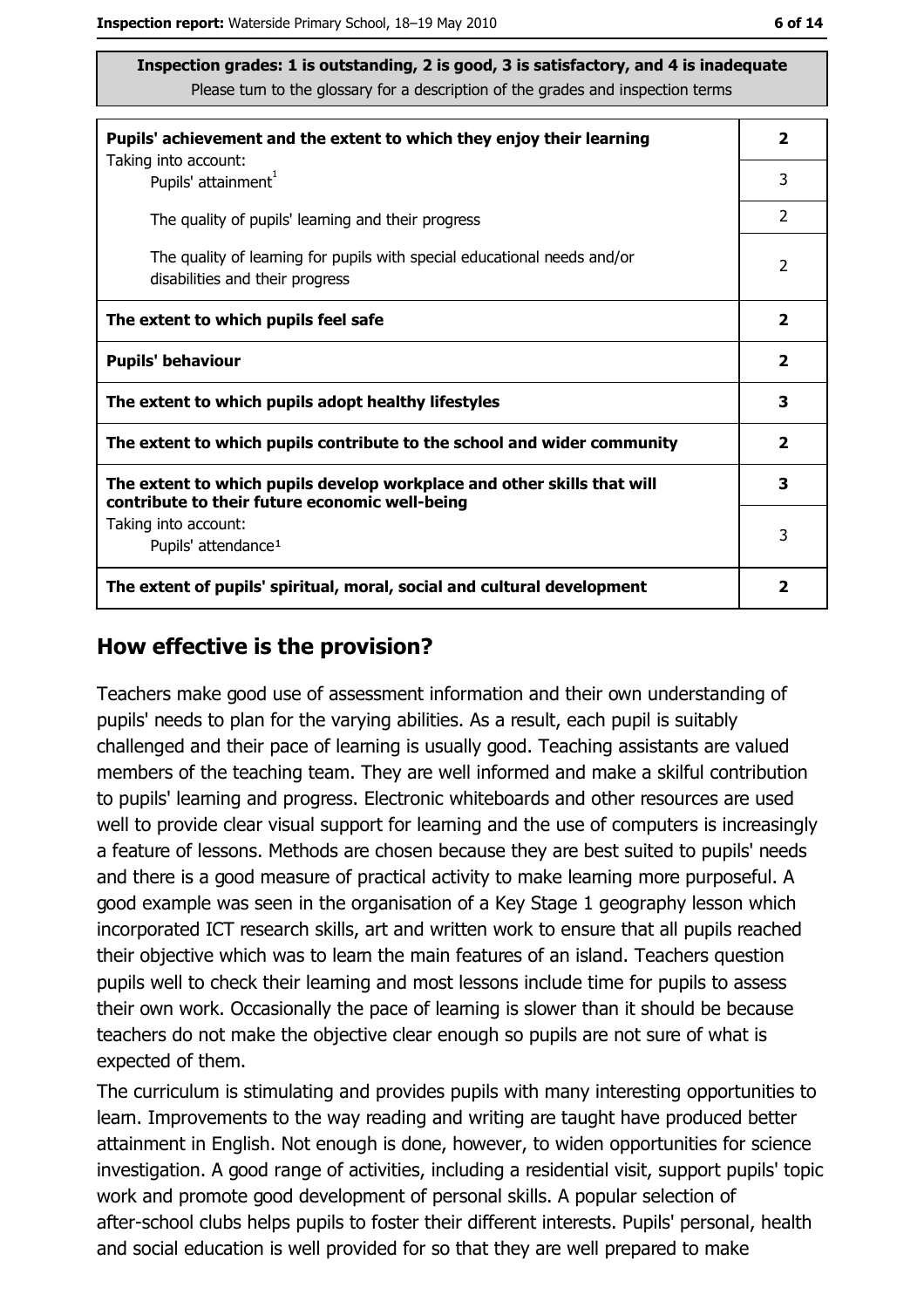| Pupils' achievement and the extent to which they enjoy their learning                                                     | $\mathbf{2}$            |
|---------------------------------------------------------------------------------------------------------------------------|-------------------------|
| Taking into account:<br>Pupils' attainment <sup>1</sup>                                                                   | 3                       |
| The quality of pupils' leaming and their progress                                                                         | 2                       |
| The quality of leaming for pupils with special educational needs and/or<br>disabilities and their progress                | $\overline{2}$          |
| The extent to which pupils feel safe                                                                                      | $\overline{\mathbf{2}}$ |
| <b>Pupils' behaviour</b>                                                                                                  | $\overline{\mathbf{2}}$ |
| The extent to which pupils adopt healthy lifestyles                                                                       | 3                       |
| The extent to which pupils contribute to the school and wider community                                                   |                         |
| The extent to which pupils develop workplace and other skills that will<br>contribute to their future economic well-being | 3                       |
| Taking into account:<br>Pupils' attendance <sup>1</sup>                                                                   | 3                       |
| The extent of pupils' spiritual, moral, social and cultural development                                                   | 2                       |

#### How effective is the provision?

Teachers make good use of assessment information and their own understanding of pupils' needs to plan for the varying abilities. As a result, each pupil is suitably challenged and their pace of learning is usually good. Teaching assistants are valued members of the teaching team. They are well informed and make a skilful contribution to pupils' learning and progress. Electronic whiteboards and other resources are used well to provide clear visual support for learning and the use of computers is increasingly a feature of lessons. Methods are chosen because they are best suited to pupils' needs and there is a good measure of practical activity to make learning more purposeful. A good example was seen in the organisation of a Key Stage 1 geography lesson which incorporated ICT research skills, art and written work to ensure that all pupils reached their objective which was to learn the main features of an island. Teachers question pupils well to check their leaming and most lessons include time for pupils to assess their own work. Occasionally the pace of learning is slower than it should be because teachers do not make the objective clear enough so pupils are not sure of what is expected of them.

The curriculum is stimulating and provides pupils with many interesting opportunities to learn. Improvements to the way reading and writing are taught have produced better attainment in English. Not enough is done, however, to widen opportunities for science investigation. A good range of activities, including a residential visit, support pupils' topic work and promote good development of personal skills. A popular selection of after-school clubs helps pupils to foster their different interests. Pupils' personal, health and social education is well provided for so that they are well prepared to make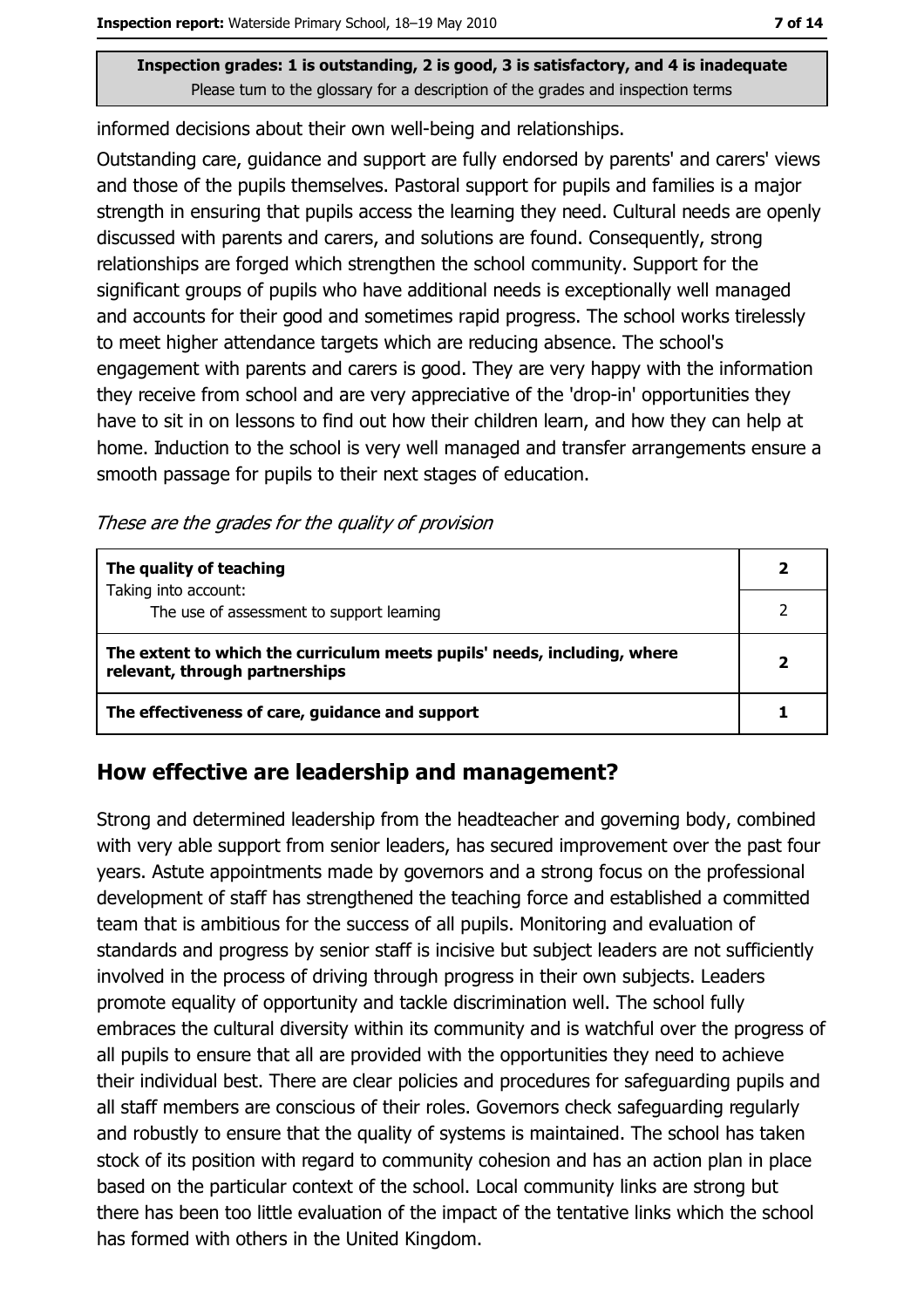informed decisions about their own well-being and relationships.

Outstanding care, guidance and support are fully endorsed by parents' and carers' views and those of the pupils themselves. Pastoral support for pupils and families is a major strength in ensuring that pupils access the learning they need. Cultural needs are openly discussed with parents and carers, and solutions are found. Consequently, strong relationships are forged which strengthen the school community. Support for the significant groups of pupils who have additional needs is exceptionally well managed and accounts for their good and sometimes rapid progress. The school works tirelessly to meet higher attendance targets which are reducing absence. The school's engagement with parents and carers is good. They are very happy with the information they receive from school and are very appreciative of the 'drop-in' opportunities they have to sit in on lessons to find out how their children learn, and how they can help at home. Induction to the school is very well managed and transfer arrangements ensure a smooth passage for pupils to their next stages of education.

These are the grades for the quality of provision

| The quality of teaching                                                                                    |  |
|------------------------------------------------------------------------------------------------------------|--|
| Taking into account:<br>The use of assessment to support learning                                          |  |
| The extent to which the curriculum meets pupils' needs, including, where<br>relevant, through partnerships |  |
| The effectiveness of care, guidance and support                                                            |  |

#### How effective are leadership and management?

Strong and determined leadership from the headteacher and governing body, combined with very able support from senior leaders, has secured improvement over the past four years. Astute appointments made by governors and a strong focus on the professional development of staff has strengthened the teaching force and established a committed team that is ambitious for the success of all pupils. Monitoring and evaluation of standards and progress by senior staff is incisive but subject leaders are not sufficiently involved in the process of driving through progress in their own subjects. Leaders promote equality of opportunity and tackle discrimination well. The school fully embraces the cultural diversity within its community and is watchful over the progress of all pupils to ensure that all are provided with the opportunities they need to achieve their individual best. There are clear policies and procedures for safeguarding pupils and all staff members are conscious of their roles. Governors check safeguarding regularly and robustly to ensure that the quality of systems is maintained. The school has taken stock of its position with regard to community cohesion and has an action plan in place based on the particular context of the school. Local community links are strong but there has been too little evaluation of the impact of the tentative links which the school has formed with others in the United Kingdom.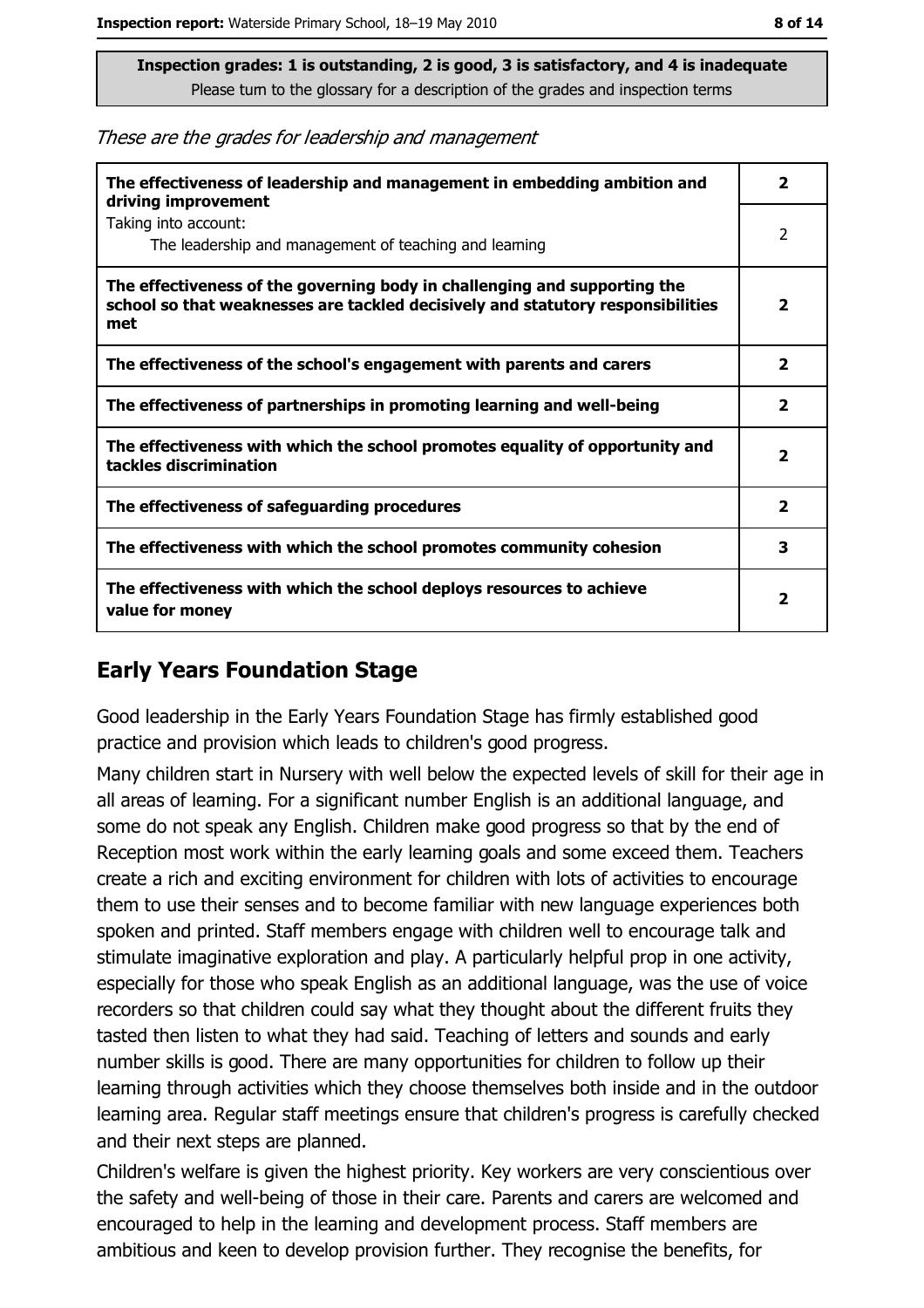These are the grades for leadership and management

| The effectiveness of leadership and management in embedding ambition and<br>driving improvement                                                                     | $\mathbf{2}$            |
|---------------------------------------------------------------------------------------------------------------------------------------------------------------------|-------------------------|
| Taking into account:<br>The leadership and management of teaching and leaming                                                                                       | 2                       |
| The effectiveness of the governing body in challenging and supporting the<br>school so that weaknesses are tackled decisively and statutory responsibilities<br>met | 2                       |
| The effectiveness of the school's engagement with parents and carers                                                                                                | $\overline{\mathbf{2}}$ |
| The effectiveness of partnerships in promoting learning and well-being                                                                                              | $\overline{\mathbf{2}}$ |
| The effectiveness with which the school promotes equality of opportunity and<br>tackles discrimination                                                              | $\overline{\mathbf{2}}$ |
| The effectiveness of safeguarding procedures                                                                                                                        | $\overline{\mathbf{2}}$ |
| The effectiveness with which the school promotes community cohesion                                                                                                 | 3                       |
| The effectiveness with which the school deploys resources to achieve<br>value for money                                                                             | $\mathbf{2}$            |

## **Early Years Foundation Stage**

Good leadership in the Early Years Foundation Stage has firmly established good practice and provision which leads to children's good progress.

Many children start in Nursery with well below the expected levels of skill for their age in all areas of leaming. For a significant number English is an additional language, and some do not speak any English. Children make good progress so that by the end of Reception most work within the early learning goals and some exceed them. Teachers create a rich and exciting environment for children with lots of activities to encourage them to use their senses and to become familiar with new language experiences both spoken and printed. Staff members engage with children well to encourage talk and stimulate imaginative exploration and play. A particularly helpful prop in one activity, especially for those who speak English as an additional language, was the use of voice recorders so that children could say what they thought about the different fruits they tasted then listen to what they had said. Teaching of letters and sounds and early number skills is good. There are many opportunities for children to follow up their learning through activities which they choose themselves both inside and in the outdoor learning area. Regular staff meetings ensure that children's progress is carefully checked and their next steps are planned.

Children's welfare is given the highest priority. Key workers are very conscientious over the safety and well-being of those in their care. Parents and carers are welcomed and encouraged to help in the learning and development process. Staff members are ambitious and keen to develop provision further. They recognise the benefits, for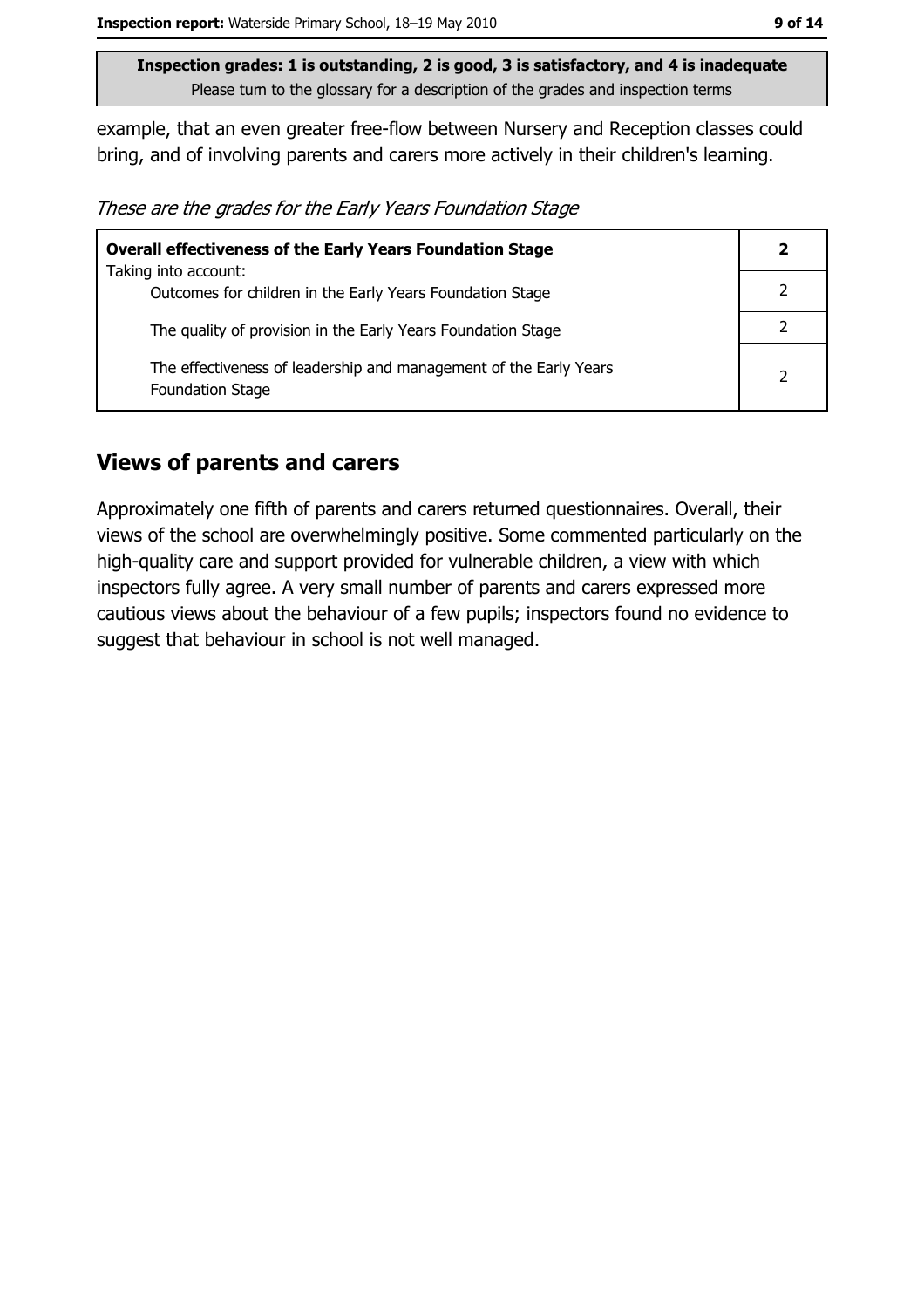example, that an even greater free-flow between Nursery and Reception classes could bring, and of involving parents and carers more actively in their children's leaming.

These are the grades for the Early Years Foundation Stage

| <b>Overall effectiveness of the Early Years Foundation Stage</b>                             | $\mathbf{2}$  |
|----------------------------------------------------------------------------------------------|---------------|
| Taking into account:                                                                         |               |
| Outcomes for children in the Early Years Foundation Stage                                    |               |
| The quality of provision in the Early Years Foundation Stage                                 |               |
| The effectiveness of leadership and management of the Early Years<br><b>Foundation Stage</b> | $\mathcal{P}$ |

## **Views of parents and carers**

Approximately one fifth of parents and carers returned questionnaires. Overall, their views of the school are overwhelmingly positive. Some commented particularly on the high-quality care and support provided for vulnerable children, a view with which inspectors fully agree. A very small number of parents and carers expressed more cautious views about the behaviour of a few pupils; inspectors found no evidence to suggest that behaviour in school is not well managed.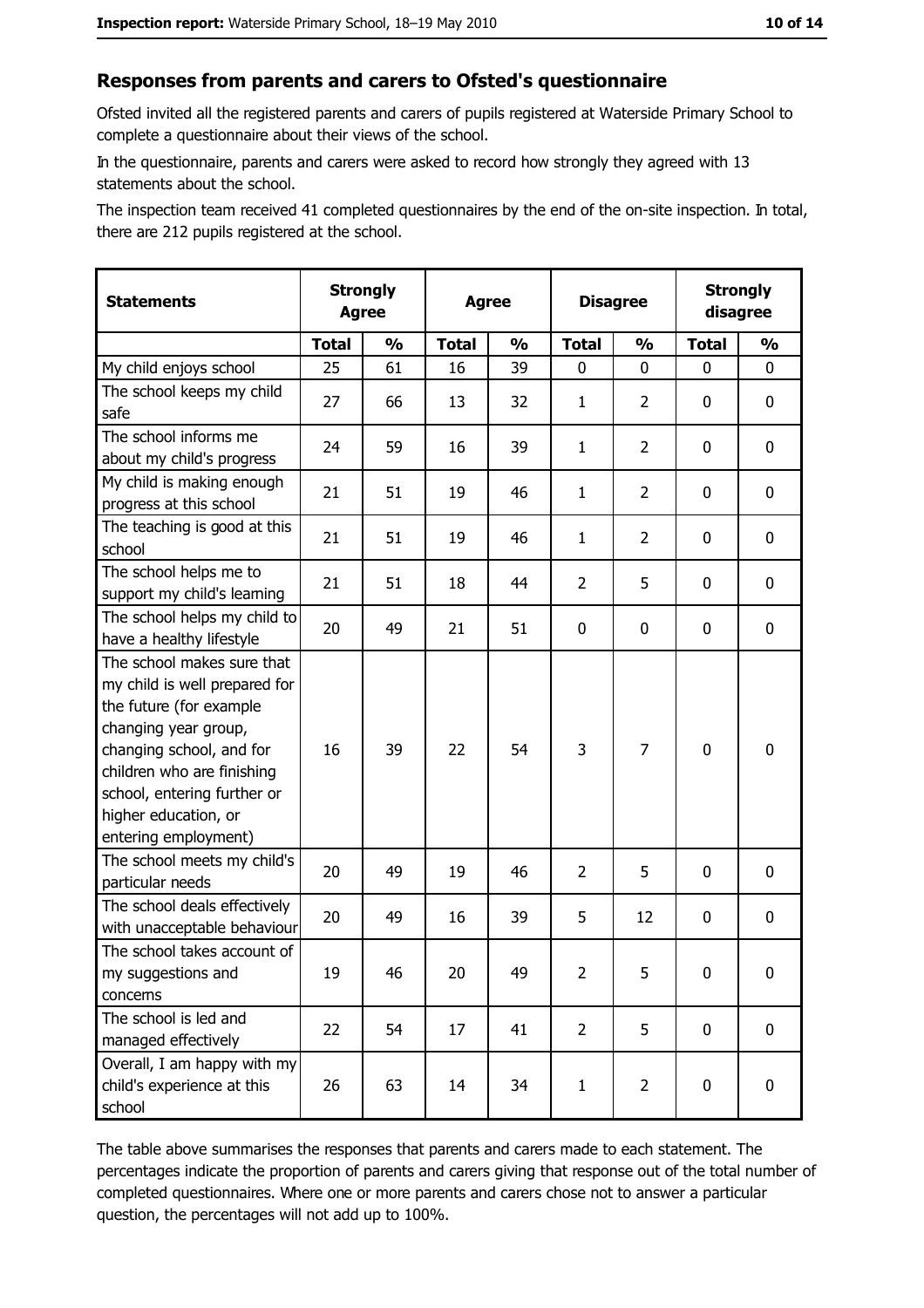#### Responses from parents and carers to Ofsted's questionnaire

Ofsted invited all the registered parents and carers of pupils registered at Waterside Primary School to complete a questionnaire about their views of the school.

In the questionnaire, parents and carers were asked to record how strongly they agreed with 13 statements about the school.

The inspection team received 41 completed questionnaires by the end of the on-site inspection. In total, there are 212 pupils registered at the school.

| <b>Statements</b>                                                                                                                                                                                                                                       | <b>Strongly</b><br><b>Agree</b> |               | <b>Agree</b> |               | <b>Disagree</b> |                | <b>Strongly</b><br>disagree |                  |
|---------------------------------------------------------------------------------------------------------------------------------------------------------------------------------------------------------------------------------------------------------|---------------------------------|---------------|--------------|---------------|-----------------|----------------|-----------------------------|------------------|
|                                                                                                                                                                                                                                                         | <b>Total</b>                    | $\frac{1}{2}$ | <b>Total</b> | $\frac{0}{0}$ | <b>Total</b>    | $\frac{0}{0}$  | <b>Total</b>                | $\frac{1}{2}$    |
| My child enjoys school                                                                                                                                                                                                                                  | 25                              | 61            | 16           | 39            | $\mathbf 0$     | 0              | 0                           | $\mathbf 0$      |
| The school keeps my child<br>safe                                                                                                                                                                                                                       | 27                              | 66            | 13           | 32            | $\mathbf{1}$    | $\overline{2}$ | 0                           | $\mathbf 0$      |
| The school informs me<br>about my child's progress                                                                                                                                                                                                      | 24                              | 59            | 16           | 39            | $\mathbf{1}$    | $\overline{2}$ | $\mathbf{0}$                | 0                |
| My child is making enough<br>progress at this school                                                                                                                                                                                                    | 21                              | 51            | 19           | 46            | $\mathbf{1}$    | $\overline{2}$ | 0                           | 0                |
| The teaching is good at this<br>school                                                                                                                                                                                                                  | 21                              | 51            | 19           | 46            | $\mathbf{1}$    | $\overline{2}$ | 0                           | 0                |
| The school helps me to<br>support my child's learning                                                                                                                                                                                                   | 21                              | 51            | 18           | 44            | $\overline{2}$  | 5              | 0                           | $\mathbf 0$      |
| The school helps my child to<br>have a healthy lifestyle                                                                                                                                                                                                | 20                              | 49            | 21           | 51            | $\mathbf 0$     | 0              | 0                           | $\mathbf 0$      |
| The school makes sure that<br>my child is well prepared for<br>the future (for example<br>changing year group,<br>changing school, and for<br>children who are finishing<br>school, entering further or<br>higher education, or<br>entering employment) | 16                              | 39            | 22           | 54            | 3               | 7              | $\mathbf 0$                 | $\mathbf 0$      |
| The school meets my child's<br>particular needs                                                                                                                                                                                                         | 20                              | 49            | 19           | 46            | $\overline{2}$  | 5              | $\Omega$                    | $\mathbf 0$      |
| The school deals effectively<br>with unacceptable behaviour                                                                                                                                                                                             | 20                              | 49            | 16           | 39            | 5               | 12             | 0                           | $\mathbf 0$      |
| The school takes account of<br>my suggestions and<br>concerns                                                                                                                                                                                           | 19                              | 46            | 20           | 49            | $\overline{2}$  | 5              | 0                           | $\boldsymbol{0}$ |
| The school is led and<br>managed effectively                                                                                                                                                                                                            | 22                              | 54            | 17           | 41            | $\overline{2}$  | 5              | $\mathbf 0$                 | $\mathbf 0$      |
| Overall, I am happy with my<br>child's experience at this<br>school                                                                                                                                                                                     | 26                              | 63            | 14           | 34            | $\mathbf{1}$    | $\overline{2}$ | 0                           | $\mathbf 0$      |

The table above summarises the responses that parents and carers made to each statement. The percentages indicate the proportion of parents and carers giving that response out of the total number of completed questionnaires. Where one or more parents and carers chose not to answer a particular question, the percentages will not add up to 100%.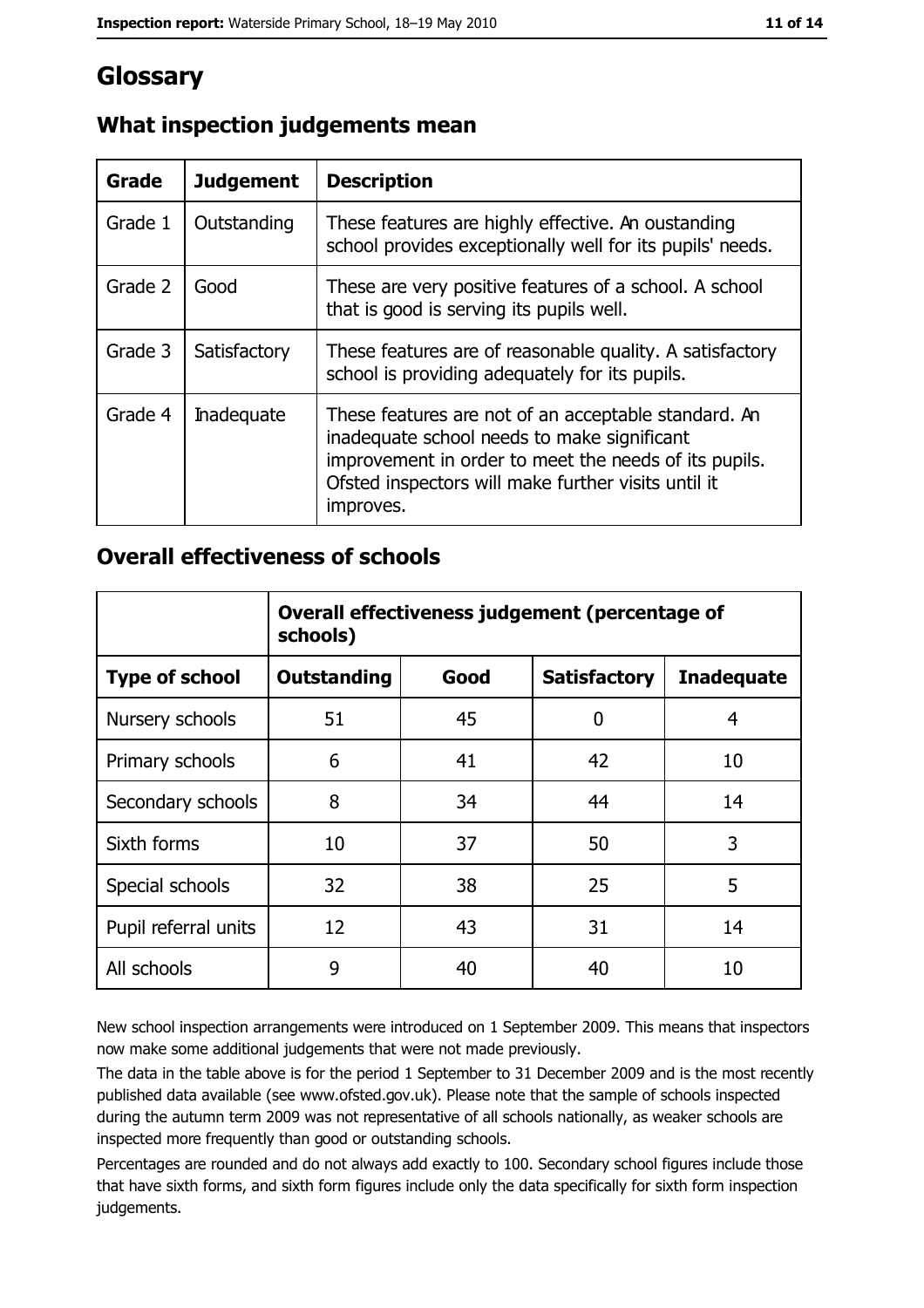# **Glossary**

| Grade   | <b>Judgement</b>  | <b>Description</b>                                                                                                                                                                                                               |
|---------|-------------------|----------------------------------------------------------------------------------------------------------------------------------------------------------------------------------------------------------------------------------|
| Grade 1 | Outstanding       | These features are highly effective. An oustanding<br>school provides exceptionally well for its pupils' needs.                                                                                                                  |
| Grade 2 | Good              | These are very positive features of a school. A school<br>that is good is serving its pupils well.                                                                                                                               |
| Grade 3 | Satisfactory      | These features are of reasonable quality. A satisfactory<br>school is providing adequately for its pupils.                                                                                                                       |
| Grade 4 | <b>Inadequate</b> | These features are not of an acceptable standard. An<br>inadequate school needs to make significant<br>improvement in order to meet the needs of its pupils.<br>Ofsted inspectors will make further visits until it<br>improves. |

# What inspection judgements mean

## **Overall effectiveness of schools**

|                       | Overall effectiveness judgement (percentage of<br>schools) |      |                     |                   |
|-----------------------|------------------------------------------------------------|------|---------------------|-------------------|
| <b>Type of school</b> | <b>Outstanding</b>                                         | Good | <b>Satisfactory</b> | <b>Inadequate</b> |
| Nursery schools       | 51                                                         | 45   | 0                   | 4                 |
| Primary schools       | 6                                                          | 41   | 42                  | 10                |
| Secondary schools     | 8                                                          | 34   | 44                  | 14                |
| Sixth forms           | 10                                                         | 37   | 50                  | 3                 |
| Special schools       | 32                                                         | 38   | 25                  | 5                 |
| Pupil referral units  | 12                                                         | 43   | 31                  | 14                |
| All schools           | 9                                                          | 40   | 40                  | 10                |

New school inspection arrangements were introduced on 1 September 2009. This means that inspectors now make some additional judgements that were not made previously.

The data in the table above is for the period 1 September to 31 December 2009 and is the most recently published data available (see www.ofsted.gov.uk). Please note that the sample of schools inspected during the autumn term 2009 was not representative of all schools nationally, as weaker schools are inspected more frequently than good or outstanding schools.

Percentages are rounded and do not always add exactly to 100. Secondary school figures include those that have sixth forms, and sixth form figures include only the data specifically for sixth form inspection judgements.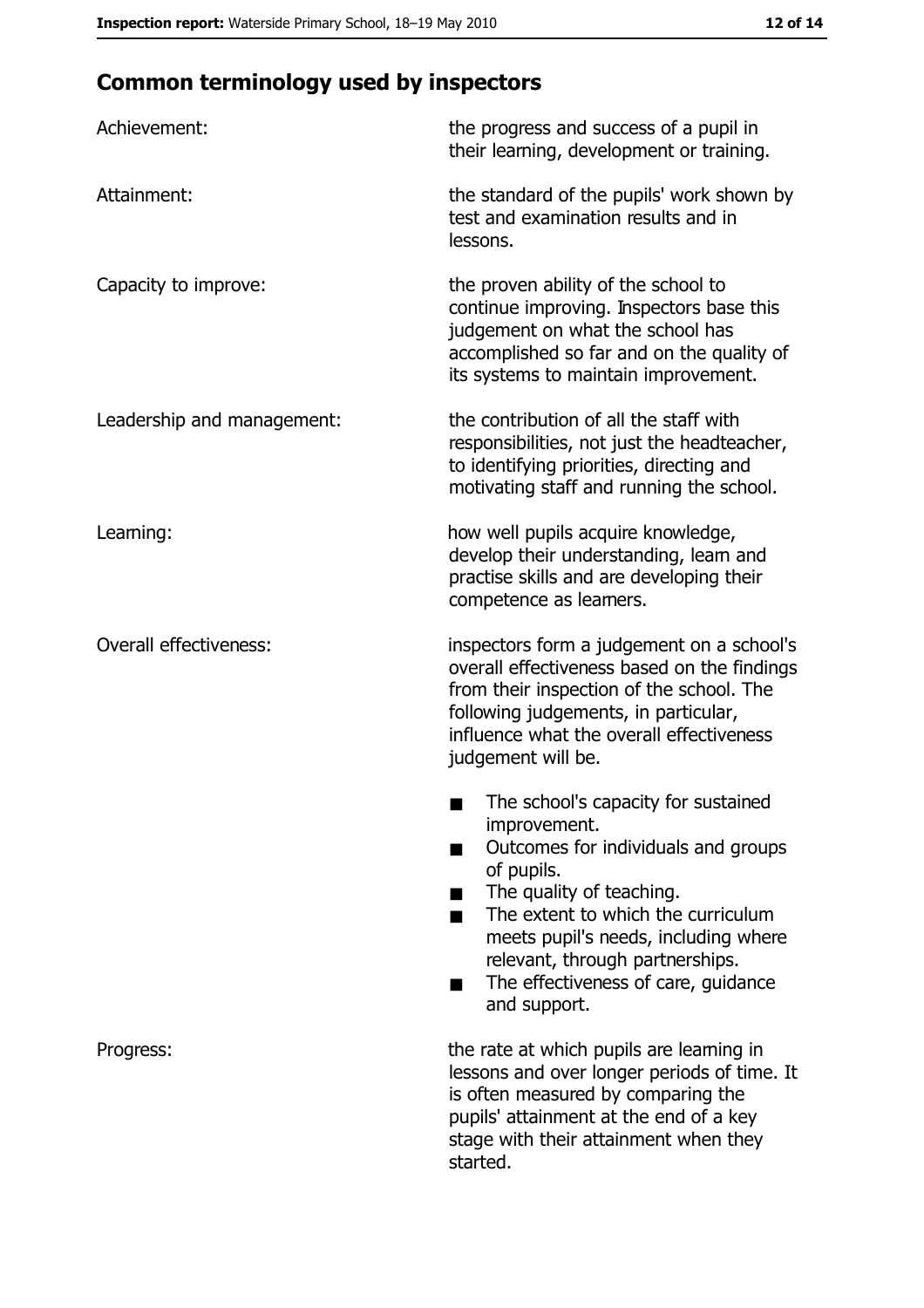# **Common terminology used by inspectors**

| Achievement:                  | the progress and success of a pupil in<br>their learning, development or training.                                                                                                                                                                                                                           |
|-------------------------------|--------------------------------------------------------------------------------------------------------------------------------------------------------------------------------------------------------------------------------------------------------------------------------------------------------------|
| Attainment:                   | the standard of the pupils' work shown by<br>test and examination results and in<br>lessons.                                                                                                                                                                                                                 |
| Capacity to improve:          | the proven ability of the school to<br>continue improving. Inspectors base this<br>judgement on what the school has<br>accomplished so far and on the quality of<br>its systems to maintain improvement.                                                                                                     |
| Leadership and management:    | the contribution of all the staff with<br>responsibilities, not just the headteacher,<br>to identifying priorities, directing and<br>motivating staff and running the school.                                                                                                                                |
| Leaming:                      | how well pupils acquire knowledge,<br>develop their understanding, leam and<br>practise skills and are developing their<br>competence as leamers.                                                                                                                                                            |
| <b>Overall effectiveness:</b> | inspectors form a judgement on a school's<br>overall effectiveness based on the findings<br>from their inspection of the school. The<br>following judgements, in particular,<br>influence what the overall effectiveness<br>judgement will be.                                                               |
|                               | The school's capacity for sustained<br>improvement.<br>Outcomes for individuals and groups<br>of pupils.<br>The quality of teaching.<br>The extent to which the curriculum<br>meets pupil's needs, including where<br>relevant, through partnerships.<br>The effectiveness of care, guidance<br>and support. |
| Progress:                     | the rate at which pupils are leaming in<br>lessons and over longer periods of time. It<br>is often measured by comparing the<br>pupils' attainment at the end of a key<br>stage with their attainment when they<br>started.                                                                                  |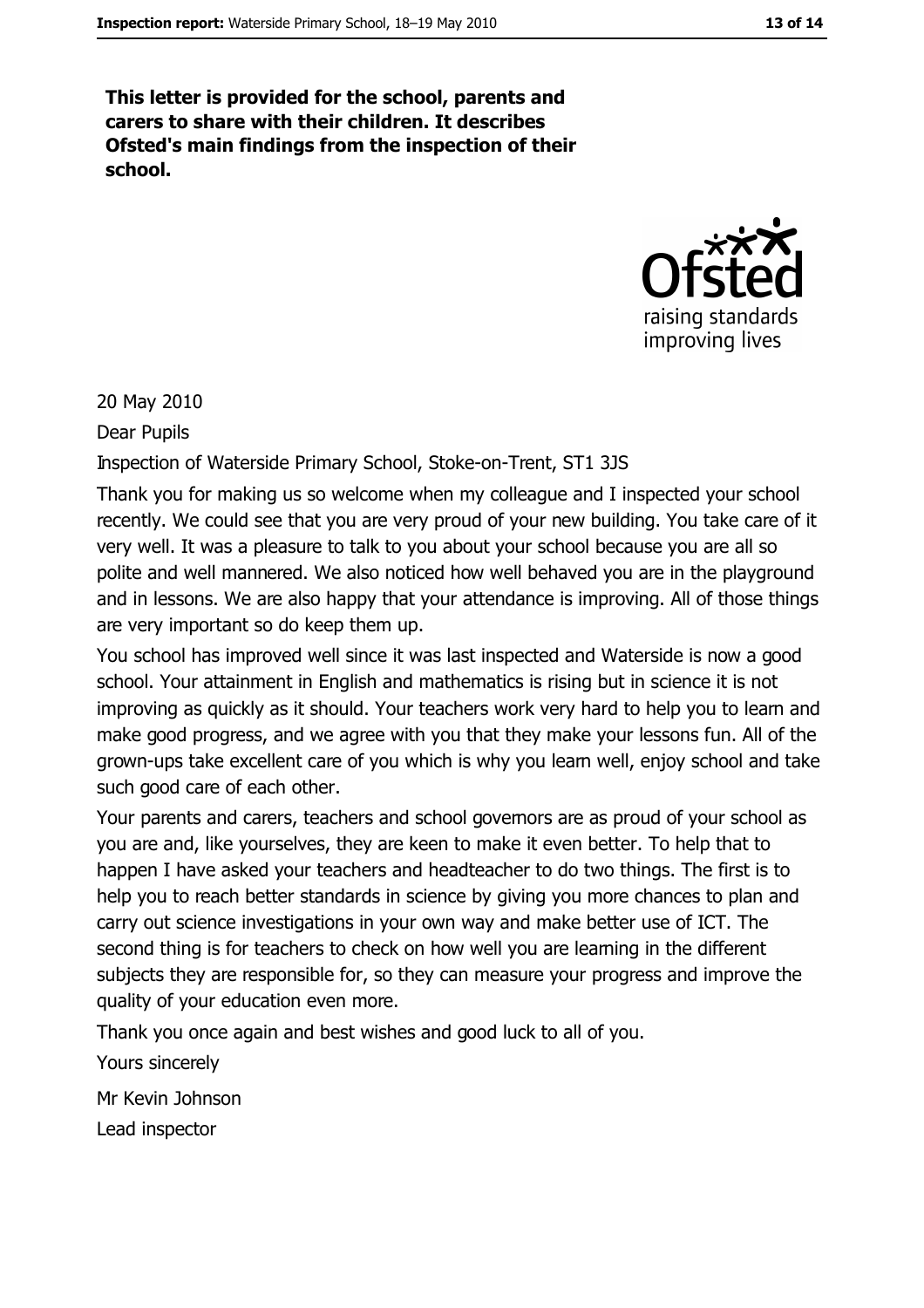This letter is provided for the school, parents and carers to share with their children. It describes Ofsted's main findings from the inspection of their school.



20 May 2010

Dear Pupils

Inspection of Waterside Primary School, Stoke-on-Trent, ST1 3JS

Thank you for making us so welcome when my colleague and I inspected your school recently. We could see that you are very proud of your new building. You take care of it very well. It was a pleasure to talk to you about your school because you are all so polite and well mannered. We also noticed how well behaved you are in the playground and in lessons. We are also happy that your attendance is improving. All of those things are very important so do keep them up.

You school has improved well since it was last inspected and Waterside is now a good school. Your attainment in English and mathematics is rising but in science it is not improving as quickly as it should. Your teachers work very hard to help you to leam and make good progress, and we agree with you that they make your lessons fun. All of the grown-ups take excellent care of you which is why you learn well, enjoy school and take such good care of each other.

Your parents and carers, teachers and school governors are as proud of your school as you are and, like yourselves, they are keen to make it even better. To help that to happen I have asked your teachers and headteacher to do two things. The first is to help you to reach better standards in science by giving you more chances to plan and carry out science investigations in your own way and make better use of ICT. The second thing is for teachers to check on how well you are learning in the different subjects they are responsible for, so they can measure your progress and improve the quality of your education even more.

Thank you once again and best wishes and good luck to all of you.

Yours sincerely

Mr Kevin Johnson

Lead inspector